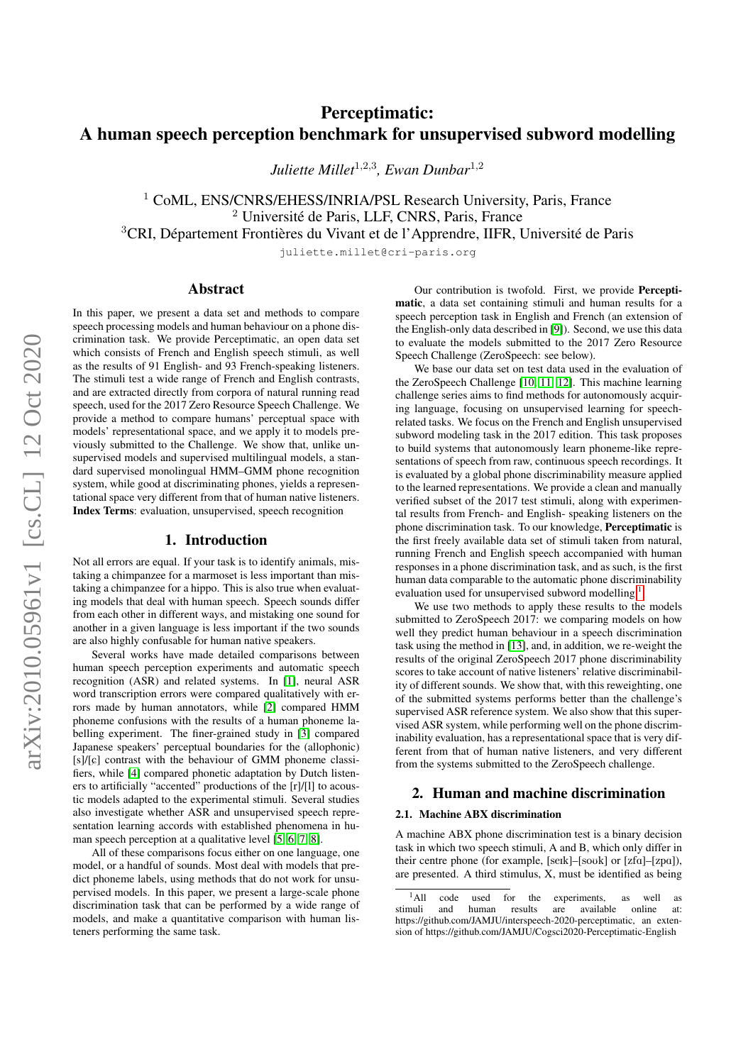# Perceptimatic: A human speech perception benchmark for unsupervised subword modelling

*Juliette Millet*<sup>1</sup>,2,<sup>3</sup> *, Ewan Dunbar*<sup>1</sup>,<sup>2</sup>

<sup>1</sup> CoML, ENS/CNRS/EHESS/INRIA/PSL Research University, Paris, France <sup>2</sup> Université de Paris, LLF, CNRS, Paris, France <sup>3</sup>CRI, Département Frontières du Vivant et de l'Apprendre, IIFR, Université de Paris

juliette.millet@cri-paris.org

## Abstract

In this paper, we present a data set and methods to compare speech processing models and human behaviour on a phone discrimination task. We provide Perceptimatic, an open data set which consists of French and English speech stimuli, as well as the results of 91 English- and 93 French-speaking listeners. The stimuli test a wide range of French and English contrasts, and are extracted directly from corpora of natural running read speech, used for the 2017 Zero Resource Speech Challenge. We provide a method to compare humans' perceptual space with models' representational space, and we apply it to models previously submitted to the Challenge. We show that, unlike unsupervised models and supervised multilingual models, a standard supervised monolingual HMM–GMM phone recognition system, while good at discriminating phones, yields a representational space very different from that of human native listeners. Index Terms: evaluation, unsupervised, speech recognition

#### 1. Introduction

Not all errors are equal. If your task is to identify animals, mistaking a chimpanzee for a marmoset is less important than mistaking a chimpanzee for a hippo. This is also true when evaluating models that deal with human speech. Speech sounds differ from each other in different ways, and mistaking one sound for another in a given language is less important if the two sounds are also highly confusable for human native speakers.

Several works have made detailed comparisons between human speech perception experiments and automatic speech recognition (ASR) and related systems. In [\[1\]](#page-4-0), neural ASR word transcription errors were compared qualitatively with errors made by human annotators, while [\[2\]](#page-4-1) compared HMM phoneme confusions with the results of a human phoneme labelling experiment. The finer-grained study in [\[3\]](#page-4-2) compared Japanese speakers' perceptual boundaries for the (allophonic) [s]/[c] contrast with the behaviour of GMM phoneme classifiers, while [\[4\]](#page-4-3) compared phonetic adaptation by Dutch listeners to artificially "accented" productions of the [r]/[l] to acoustic models adapted to the experimental stimuli. Several studies also investigate whether ASR and unsupervised speech representation learning accords with established phenomena in human speech perception at a qualitative level [\[5,](#page-4-4) [6,](#page-4-5) [7,](#page-4-6) [8\]](#page-4-7).

All of these comparisons focus either on one language, one model, or a handful of sounds. Most deal with models that predict phoneme labels, using methods that do not work for unsupervised models. In this paper, we present a large-scale phone discrimination task that can be performed by a wide range of models, and make a quantitative comparison with human listeners performing the same task.

Our contribution is twofold. First, we provide Perceptimatic, a data set containing stimuli and human results for a speech perception task in English and French (an extension of the English-only data described in [\[9\]](#page-4-8)). Second, we use this data to evaluate the models submitted to the 2017 Zero Resource Speech Challenge (ZeroSpeech: see below).

We base our data set on test data used in the evaluation of the ZeroSpeech Challenge [\[10,](#page-4-9) [11,](#page-4-10) [12\]](#page-4-11). This machine learning challenge series aims to find methods for autonomously acquiring language, focusing on unsupervised learning for speechrelated tasks. We focus on the French and English unsupervised subword modeling task in the 2017 edition. This task proposes to build systems that autonomously learn phoneme-like representations of speech from raw, continuous speech recordings. It is evaluated by a global phone discriminability measure applied to the learned representations. We provide a clean and manually verified subset of the 2017 test stimuli, along with experimental results from French- and English- speaking listeners on the phone discrimination task. To our knowledge, Perceptimatic is the first freely available data set of stimuli taken from natural, running French and English speech accompanied with human responses in a phone discrimination task, and as such, is the first human data comparable to the automatic phone discriminability evaluation used for unsupervised subword modelling.[1](#page-0-0)

We use two methods to apply these results to the models submitted to ZeroSpeech 2017: we comparing models on how well they predict human behaviour in a speech discrimination task using the method in [\[13\]](#page-4-12), and, in addition, we re-weight the results of the original ZeroSpeech 2017 phone discriminability scores to take account of native listeners' relative discriminability of different sounds. We show that, with this reweighting, one of the submitted systems performs better than the challenge's supervised ASR reference system. We also show that this supervised ASR system, while performing well on the phone discriminability evaluation, has a representational space that is very different from that of human native listeners, and very different from the systems submitted to the ZeroSpeech challenge.

## 2. Human and machine discrimination

#### 2.1. Machine ABX discrimination

A machine ABX phone discrimination test is a binary decision task in which two speech stimuli, A and B, which only differ in their centre phone (for example, [seɪk]–[soʊk] or [zfa]–[zpa]), are presented. A third stimulus, X, must be identified as being

<span id="page-0-0"></span><sup>&</sup>lt;sup>1</sup>All code used for the experiments, as well as  $\frac{1}{1}$  and  $\frac{1}{1}$  numan results are available online at: stimuli and human results are available online at: https://github.com/JAMJU/interspeech-2020-perceptimatic, an extension of https://github.com/JAMJU/Cogsci2020-Perceptimatic-English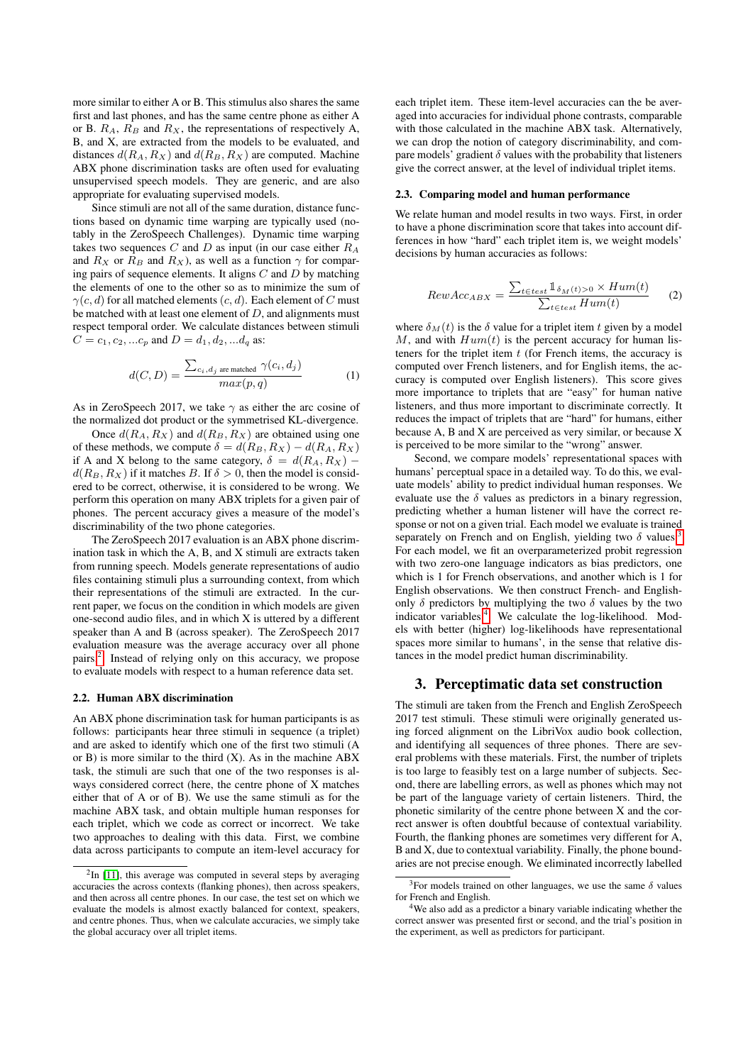more similar to either A or B. This stimulus also shares the same first and last phones, and has the same centre phone as either A or B.  $R_A$ ,  $R_B$  and  $R_X$ , the representations of respectively A, B, and X, are extracted from the models to be evaluated, and distances  $d(R_A, R_X)$  and  $d(R_B, R_X)$  are computed. Machine ABX phone discrimination tasks are often used for evaluating unsupervised speech models. They are generic, and are also appropriate for evaluating supervised models.

Since stimuli are not all of the same duration, distance functions based on dynamic time warping are typically used (notably in the ZeroSpeech Challenges). Dynamic time warping takes two sequences  $C$  and  $D$  as input (in our case either  $R_A$ and  $R_X$  or  $R_B$  and  $R_X$ ), as well as a function  $\gamma$  for comparing pairs of sequence elements. It aligns  $C$  and  $D$  by matching the elements of one to the other so as to minimize the sum of  $\gamma(c, d)$  for all matched elements  $(c, d)$ . Each element of C must be matched with at least one element of  $D$ , and alignments must respect temporal order. We calculate distances between stimuli  $C = c_1, c_2, ... c_n$  and  $D = d_1, d_2, ... d_n$  as:

$$
d(C, D) = \frac{\sum_{c_i, d_j \text{ are matched}} \gamma(c_i, d_j)}{max(p, q)}
$$
(1)

As in ZeroSpeech 2017, we take  $\gamma$  as either the arc cosine of the normalized dot product or the symmetrised KL-divergence.

Once  $d(R_A, R_X)$  and  $d(R_B, R_X)$  are obtained using one of these methods, we compute  $\delta = d(R_B, R_X) - d(R_A, R_X)$ if A and X belong to the same category,  $\delta = d(R_A, R_X)$  –  $d(R_B, R_X)$  if it matches B. If  $\delta > 0$ , then the model is considered to be correct, otherwise, it is considered to be wrong. We perform this operation on many ABX triplets for a given pair of phones. The percent accuracy gives a measure of the model's discriminability of the two phone categories.

The ZeroSpeech 2017 evaluation is an ABX phone discrimination task in which the A, B, and X stimuli are extracts taken from running speech. Models generate representations of audio files containing stimuli plus a surrounding context, from which their representations of the stimuli are extracted. In the current paper, we focus on the condition in which models are given one-second audio files, and in which X is uttered by a different speaker than A and B (across speaker). The ZeroSpeech 2017 evaluation measure was the average accuracy over all phone pairs.[2](#page-1-0) Instead of relying only on this accuracy, we propose to evaluate models with respect to a human reference data set.

#### 2.2. Human ABX discrimination

An ABX phone discrimination task for human participants is as follows: participants hear three stimuli in sequence (a triplet) and are asked to identify which one of the first two stimuli (A or  $B$ ) is more similar to the third  $(X)$ . As in the machine ABX task, the stimuli are such that one of the two responses is always considered correct (here, the centre phone of X matches either that of A or of B). We use the same stimuli as for the machine ABX task, and obtain multiple human responses for each triplet, which we code as correct or incorrect. We take two approaches to dealing with this data. First, we combine data across participants to compute an item-level accuracy for each triplet item. These item-level accuracies can the be averaged into accuracies for individual phone contrasts, comparable with those calculated in the machine ABX task. Alternatively, we can drop the notion of category discriminability, and compare models' gradient  $\delta$  values with the probability that listeners give the correct answer, at the level of individual triplet items.

#### <span id="page-1-5"></span>2.3. Comparing model and human performance

We relate human and model results in two ways. First, in order to have a phone discrimination score that takes into account differences in how "hard" each triplet item is, we weight models' decisions by human accuracies as follows:

<span id="page-1-4"></span>
$$
RewAcc_{ABX} = \frac{\sum_{t \in test} 1_{\delta_M(t) > 0} \times Hum(t)}{\sum_{t \in test} Hum(t)} \tag{2}
$$

where  $\delta_M(t)$  is the  $\delta$  value for a triplet item t given by a model M, and with  $Hum(t)$  is the percent accuracy for human listeners for the triplet item  $t$  (for French items, the accuracy is computed over French listeners, and for English items, the accuracy is computed over English listeners). This score gives more importance to triplets that are "easy" for human native listeners, and thus more important to discriminate correctly. It reduces the impact of triplets that are "hard" for humans, either because A, B and X are perceived as very similar, or because X is perceived to be more similar to the "wrong" answer.

Second, we compare models' representational spaces with humans' perceptual space in a detailed way. To do this, we evaluate models' ability to predict individual human responses. We evaluate use the  $\delta$  values as predictors in a binary regression, predicting whether a human listener will have the correct response or not on a given trial. Each model we evaluate is trained separately on French and on English, yielding two  $\delta$  values.<sup>[3](#page-1-1)</sup> For each model, we fit an overparameterized probit regression with two zero-one language indicators as bias predictors, one which is 1 for French observations, and another which is 1 for English observations. We then construct French- and Englishonly  $\delta$  predictors by multiplying the two  $\delta$  values by the two indicator variables. $4$  We calculate the log-likelihood. Models with better (higher) log-likelihoods have representational spaces more similar to humans', in the sense that relative distances in the model predict human discriminability.

## <span id="page-1-3"></span>3. Perceptimatic data set construction

The stimuli are taken from the French and English ZeroSpeech 2017 test stimuli. These stimuli were originally generated using forced alignment on the LibriVox audio book collection, and identifying all sequences of three phones. There are several problems with these materials. First, the number of triplets is too large to feasibly test on a large number of subjects. Second, there are labelling errors, as well as phones which may not be part of the language variety of certain listeners. Third, the phonetic similarity of the centre phone between X and the correct answer is often doubtful because of contextual variability. Fourth, the flanking phones are sometimes very different for A, B and X, due to contextual variability. Finally, the phone boundaries are not precise enough. We eliminated incorrectly labelled

<span id="page-1-0"></span> $2$ In [\[11\]](#page-4-10), this average was computed in several steps by averaging accuracies the across contexts (flanking phones), then across speakers, and then across all centre phones. In our case, the test set on which we evaluate the models is almost exactly balanced for context, speakers, and centre phones. Thus, when we calculate accuracies, we simply take the global accuracy over all triplet items.

<span id="page-1-1"></span><sup>&</sup>lt;sup>3</sup>For models trained on other languages, we use the same  $\delta$  values for French and English.

<span id="page-1-2"></span><sup>4</sup>We also add as a predictor a binary variable indicating whether the correct answer was presented first or second, and the trial's position in the experiment, as well as predictors for participant.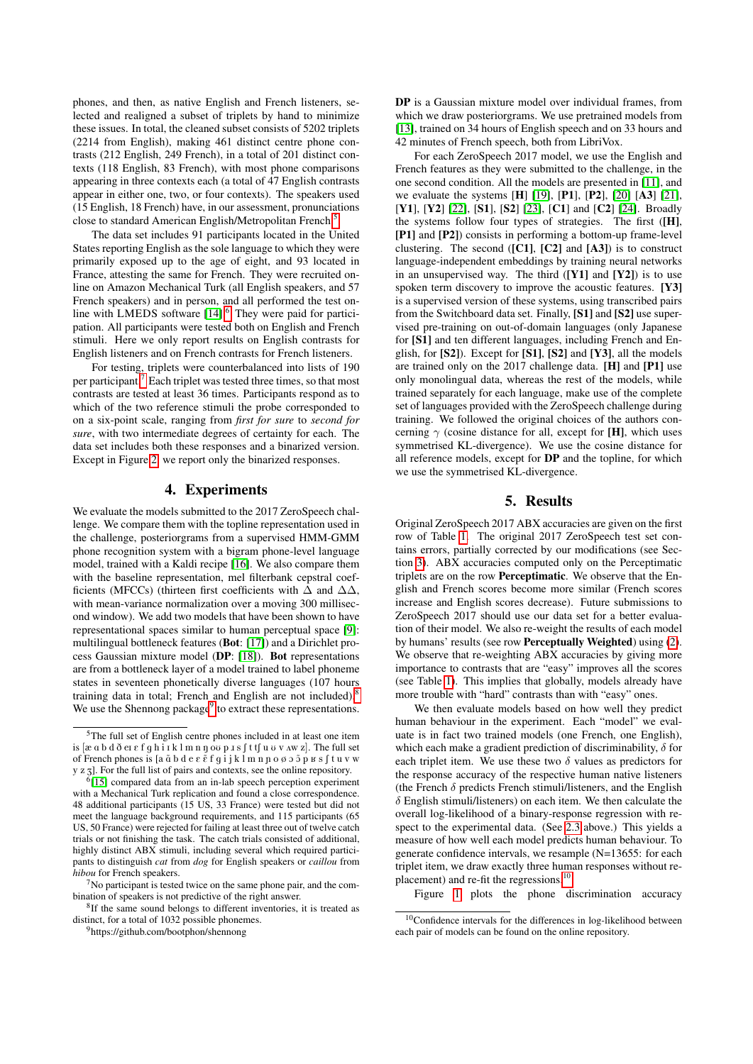phones, and then, as native English and French listeners, selected and realigned a subset of triplets by hand to minimize these issues. In total, the cleaned subset consists of 5202 triplets (2214 from English), making 461 distinct centre phone contrasts (212 English, 249 French), in a total of 201 distinct contexts (118 English, 83 French), with most phone comparisons appearing in three contexts each (a total of 47 English contrasts appear in either one, two, or four contexts). The speakers used (15 English, 18 French) have, in our assessment, pronunciations close to standard American English/Metropolitan French.<sup>[5](#page-2-0)</sup>

The data set includes 91 participants located in the United States reporting English as the sole language to which they were primarily exposed up to the age of eight, and 93 located in France, attesting the same for French. They were recruited online on Amazon Mechanical Turk (all English speakers, and 57 French speakers) and in person, and all performed the test on-line with LMEDS software [\[14\]](#page-4-13).<sup>[6](#page-2-1)</sup> They were paid for participation. All participants were tested both on English and French stimuli. Here we only report results on English contrasts for English listeners and on French contrasts for French listeners.

For testing, triplets were counterbalanced into lists of 190 per participant.[7](#page-2-2) Each triplet was tested three times, so that most contrasts are tested at least 36 times. Participants respond as to which of the two reference stimuli the probe corresponded to on a six-point scale, ranging from *first for sure* to *second for sure*, with two intermediate degrees of certainty for each. The data set includes both these responses and a binarized version. Except in Figure [2,](#page-3-0) we report only the binarized responses.

## 4. Experiments

We evaluate the models submitted to the 2017 ZeroSpeech challenge. We compare them with the topline representation used in the challenge, posteriorgrams from a supervised HMM-GMM phone recognition system with a bigram phone-level language model, trained with a Kaldi recipe [\[16\]](#page-4-14). We also compare them with the baseline representation, mel filterbank cepstral coefficients (MFCCs) (thirteen first coefficients with  $\Delta$  and  $\Delta\Delta$ , with mean-variance normalization over a moving 300 millisecond window). We add two models that have been shown to have representational spaces similar to human perceptual space [\[9\]](#page-4-8): multilingual bottleneck features (Bot: [\[17\]](#page-4-15)) and a Dirichlet process Gaussian mixture model (DP: [\[18\]](#page-4-16)). Bot representations are from a bottleneck layer of a model trained to label phoneme states in seventeen phonetically diverse languages (107 hours training data in total; French and English are not included).<sup>[8](#page-2-3)</sup> We use the Shennong package<sup>[9](#page-2-4)</sup> to extract these representations.

DP is a Gaussian mixture model over individual frames, from which we draw posteriorgrams. We use pretrained models from [\[13\]](#page-4-12), trained on 34 hours of English speech and on 33 hours and 42 minutes of French speech, both from LibriVox.

For each ZeroSpeech 2017 model, we use the English and French features as they were submitted to the challenge, in the one second condition. All the models are presented in [\[11\]](#page-4-10), and we evaluate the systems [H] [\[19\]](#page-4-18), [P1], [P2], [\[20\]](#page-4-19) [A3] [\[21\]](#page-4-20), [Y1], [Y2] [\[22\]](#page-4-21), [S1], [S2] [\[23\]](#page-4-22), [C1] and [C2] [\[24\]](#page-4-23). Broadly the systems follow four types of strategies. The first ([H], [P1] and [P2]) consists in performing a bottom-up frame-level clustering. The second  $([C1], [C2]$  and  $[A3])$  is to construct language-independent embeddings by training neural networks in an unsupervised way. The third  $([Y1]$  and  $[Y2])$  is to use spoken term discovery to improve the acoustic features. [Y3] is a supervised version of these systems, using transcribed pairs from the Switchboard data set. Finally, [S1] and [S2] use supervised pre-training on out-of-domain languages (only Japanese for [S1] and ten different languages, including French and English, for [S2]). Except for [S1], [S2] and [Y3], all the models are trained only on the 2017 challenge data. [H] and [P1] use only monolingual data, whereas the rest of the models, while trained separately for each language, make use of the complete set of languages provided with the ZeroSpeech challenge during training. We followed the original choices of the authors concerning  $\gamma$  (cosine distance for all, except for [H], which uses symmetrised KL-divergence). We use the cosine distance for all reference models, except for DP and the topline, for which we use the symmetrised KL-divergence.

## 5. Results

Original ZeroSpeech 2017 ABX accuracies are given on the first row of Table [1.](#page-3-1) The original 2017 ZeroSpeech test set contains errors, partially corrected by our modifications (see Section [3\)](#page-1-3). ABX accuracies computed only on the Perceptimatic triplets are on the row Perceptimatic. We observe that the English and French scores become more similar (French scores increase and English scores decrease). Future submissions to ZeroSpeech 2017 should use our data set for a better evaluation of their model. We also re-weight the results of each model by humans' results (see row Perceptually Weighted) using [\(2\)](#page-1-4). We observe that re-weighting ABX accuracies by giving more importance to contrasts that are "easy" improves all the scores (see Table [1\)](#page-3-1). This implies that globally, models already have more trouble with "hard" contrasts than with "easy" ones.

We then evaluate models based on how well they predict human behaviour in the experiment. Each "model" we evaluate is in fact two trained models (one French, one English), which each make a gradient prediction of discriminability,  $\delta$  for each triplet item. We use these two  $\delta$  values as predictors for the response accuracy of the respective human native listeners (the French  $\delta$  predicts French stimuli/listeners, and the English  $\delta$  English stimuli/listeners) on each item. We then calculate the overall log-likelihood of a binary-response regression with respect to the experimental data. (See [2.3](#page-1-5) above.) This yields a measure of how well each model predicts human behaviour. To generate confidence intervals, we resample (N=13655: for each triplet item, we draw exactly three human responses without replacement) and re-fit the regressions.[10](#page-2-5)

Figure [1](#page-3-2) plots the phone discrimination accuracy

<span id="page-2-0"></span><sup>5</sup>The full set of English centre phones included in at least one item is  $[\alpha \alpha b d \delta \alpha \epsilon f q h i \iota k l m n \eta \omega p J s f t f u v v \wedge w z]$ . The full set of French phones is [a  $\tilde{\alpha}$  b d e  $\varepsilon$   $\tilde{\varepsilon}$  f q i j k 1 m n  $\alpha$   $\alpha$   $\beta$   $\alpha$   $\beta$  f t u v w y z z]. For the full list of pairs and contexts, see the online repository.

<span id="page-2-1"></span><sup>6</sup> [\[15\]](#page-4-17) compared data from an in-lab speech perception experiment with a Mechanical Turk replication and found a close correspondence. 48 additional participants (15 US, 33 France) were tested but did not meet the language background requirements, and 115 participants (65 US, 50 France) were rejected for failing at least three out of twelve catch trials or not finishing the task. The catch trials consisted of additional, highly distinct ABX stimuli, including several which required participants to distinguish *cat* from *dog* for English speakers or *caillou* from *hibou* for French speakers.

<span id="page-2-2"></span> $7$ No participant is tested twice on the same phone pair, and the combination of speakers is not predictive of the right answer.

<span id="page-2-3"></span><sup>&</sup>lt;sup>8</sup>If the same sound belongs to different inventories, it is treated as distinct, for a total of 1032 possible phonemes.

<span id="page-2-4"></span><sup>9</sup>https://github.com/bootphon/shennong

<span id="page-2-5"></span><sup>&</sup>lt;sup>10</sup>Confidence intervals for the differences in log-likelihood between each pair of models can be found on the online repository.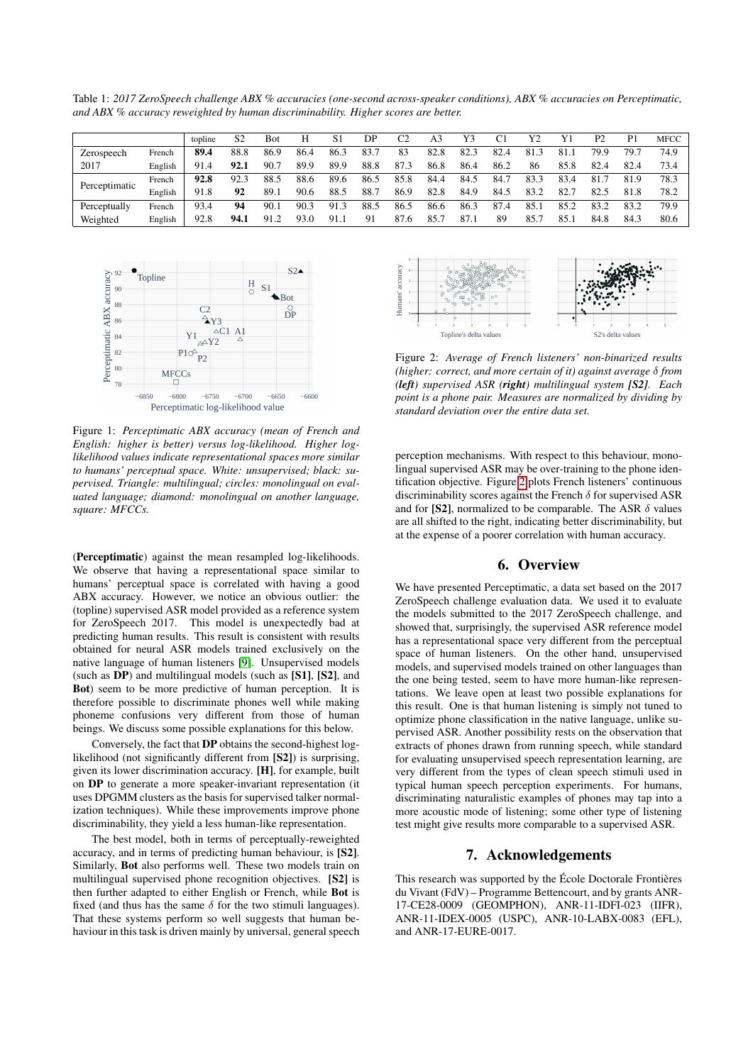<span id="page-3-1"></span>Table 1: *2017 ZeroSpeech challenge ABX % accuracies (one-second across-speaker conditions), ABX % accuracies on Perceptimatic, and ABX % accuracy reweighted by human discriminability. Higher scores are better.*

|               |         | topline | S2   | Bot  | Н    | S1   | DP   | C2   | A3   | Y3   | C1   | Y2   | Y1   | P2   | P <sub>1</sub> | MFCC |
|---------------|---------|---------|------|------|------|------|------|------|------|------|------|------|------|------|----------------|------|
| Zerospeech    | French  | 89.4    | 88.8 | 86.9 | 86.4 | 86.3 | 83.7 | 83   | 82.8 | 82.3 | 82.4 | 81.3 | 81.1 | 79.9 | 79.7           | 74.9 |
| 2017          | English | 91.4    | 92.1 | 90.7 | 89.9 | 89.9 | 88.8 | 87.3 | 86.8 | 86.4 | 86.2 | 86   | 85.8 | 82.4 | 82.4           | 73.4 |
| Perceptimatic | French  | 92.8    | 92.3 | 88.5 | 88.6 | 89.6 | 86.5 | 85.8 | 84.4 | 84.5 | 84.7 | 83.3 | 83.4 | 81.7 | 81.9           | 78.3 |
|               | English | 91.8    | 92   | 89.1 | 90.6 | 88.5 | 88.7 | 86.9 | 82.8 | 84.9 | 84.5 | 83.2 | 82.7 | 82.5 | 81.8           | 78.2 |
| Perceptually  | French  | 93.4    | 94   | 90.1 | 90.3 | 91.3 | 88.5 | 86.5 | 86.6 | 86.3 | 87.4 | 85.1 | 85.2 | 83.2 | 83.2           | 79.9 |
| Weighted      | English | 92.8    | 94.1 | 91.2 | 93.0 | 91.1 | 91   | 87.6 | 85.  | 87.1 | 89   | 85.  | 85.1 | 84.8 | 84.3           | 80.6 |

<span id="page-3-2"></span>

Figure 1: *Perceptimatic ABX accuracy (mean of French and English: higher is better) versus log-likelihood. Higher loglikelihood values indicate representational spaces more similar to humans' perceptual space. White: unsupervised; black: supervised. Triangle: multilingual; circles: monolingual on evaluated language; diamond: monolingual on another language, square: MFCCs.*

(Perceptimatic) against the mean resampled log-likelihoods. We observe that having a representational space similar to humans' perceptual space is correlated with having a good ABX accuracy. However, we notice an obvious outlier: the (topline) supervised ASR model provided as a reference system for ZeroSpeech 2017. This model is unexpectedly bad at predicting human results. This result is consistent with results obtained for neural ASR models trained exclusively on the native language of human listeners [\[9\]](#page-4-8). Unsupervised models (such as DP) and multilingual models (such as [S1], [S2], and Bot) seem to be more predictive of human perception. It is therefore possible to discriminate phones well while making phoneme confusions very different from those of human beings. We discuss some possible explanations for this below.

Conversely, the fact that DP obtains the second-highest loglikelihood (not significantly different from [S2]) is surprising, given its lower discrimination accuracy. [H], for example, built on DP to generate a more speaker-invariant representation (it uses DPGMM clusters as the basis for supervised talker normalization techniques). While these improvements improve phone discriminability, they yield a less human-like representation.

The best model, both in terms of perceptually-reweighted accuracy, and in terms of predicting human behaviour, is [S2]. Similarly, Bot also performs well. These two models train on multilingual supervised phone recognition objectives. [S2] is then further adapted to either English or French, while Bot is fixed (and thus has the same  $\delta$  for the two stimuli languages). That these systems perform so well suggests that human behaviour in this task is driven mainly by universal, general speech

<span id="page-3-0"></span>

Figure 2: *Average of French listeners' non-binarized results (higher: correct, and more certain of it) against average* δ *from (left) supervised ASR (right) multilingual system [S2]. Each point is a phone pair. Measures are normalized by dividing by standard deviation over the entire data set.*

perception mechanisms. With respect to this behaviour, monolingual supervised ASR may be over-training to the phone identification objective. Figure [2](#page-3-0) plots French listeners' continuous discriminability scores against the French  $\delta$  for supervised ASR and for [S2], normalized to be comparable. The ASR  $\delta$  values are all shifted to the right, indicating better discriminability, but at the expense of a poorer correlation with human accuracy.

## 6. Overview

We have presented Perceptimatic, a data set based on the 2017 ZeroSpeech challenge evaluation data. We used it to evaluate the models submitted to the 2017 ZeroSpeech challenge, and showed that, surprisingly, the supervised ASR reference model has a representational space very different from the perceptual space of human listeners. On the other hand, unsupervised models, and supervised models trained on other languages than the one being tested, seem to have more human-like representations. We leave open at least two possible explanations for this result. One is that human listening is simply not tuned to optimize phone classification in the native language, unlike supervised ASR. Another possibility rests on the observation that extracts of phones drawn from running speech, while standard for evaluating unsupervised speech representation learning, are very different from the types of clean speech stimuli used in typical human speech perception experiments. For humans, discriminating naturalistic examples of phones may tap into a more acoustic mode of listening; some other type of listening test might give results more comparable to a supervised ASR.

# 7. Acknowledgements

This research was supported by the École Doctorale Frontières du Vivant (FdV) – Programme Bettencourt, and by grants ANR-17-CE28-0009 (GEOMPHON), ANR-11-IDFI-023 (IIFR), ANR-11-IDEX-0005 (USPC), ANR-10-LABX-0083 (EFL), and ANR-17-EURE-0017.